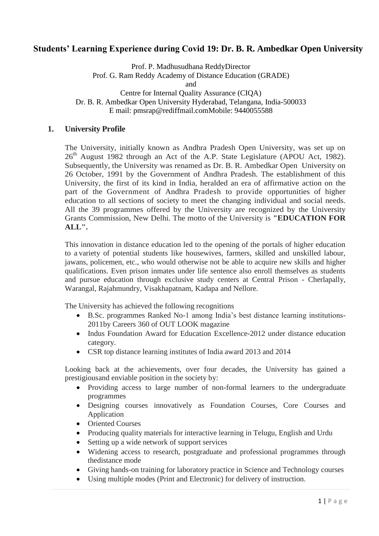# **Students' Learning Experience during Covid 19: Dr. B. R. Ambedkar Open University**

Prof. P. Madhusudhana ReddyDirector Prof. G. Ram Reddy Academy of Distance Education (GRADE) and Centre for Internal Quality Assurance (CIQA)

Dr. B. R. Ambedkar Open University Hyderabad, Telangana, India-500033 E mail: [pmsrap@rediffmail.comM](mailto:pmsrap@rediffmail.com)obile: 9440055588

#### **1. University Profile**

The University, initially known as Andhra Pradesh Open University, was set up on  $26<sup>th</sup>$  August 1982 through an Act of the A.P. State Legislature (APOU Act, 1982). Subsequently, the University was renamed as Dr. B. R. Ambedkar Open University on 26 October, 1991 by the Government of Andhra Pradesh. The establishment of this University, the first of its kind in India, heralded an era of affirmative action on the part of the Government of Andhra Pradesh to provide opportunities of higher education to all sections of society to meet the changing individual and social needs. All the 39 programmes offered by the University are recognized by the University Grants Commission, New Delhi. The motto of the University is **"EDUCATION FOR ALL".**

This innovation in distance education led to the opening of the portals of higher education to a variety of potential students like housewives, farmers, skilled and unskilled labour, jawans, policemen, etc., who would otherwise not be able to acquire new skills and higher qualifications. Even prison inmates under life sentence also enroll themselves as students and pursue education through exclusive study centers at Central Prison - Cherlapally, Warangal, Rajahmundry, Visakhapatnam, Kadapa and Nellore.

The University has achieved the following recognitions

- B.Sc. programmes Ranked No-1 among India's best distance learning institutions-2011by Careers 360 of OUT LOOK magazine
- Indus Foundation Award for Education Excellence-2012 under distance education category.
- CSR top distance learning institutes of India award 2013 and 2014

Looking back at the achievements, over four decades, the University has gained a prestigiousand enviable position in the society by:

- Providing access to large number of non-formal learners to the undergraduate programmes
- Designing courses innovatively as Foundation Courses, Core Courses and Application
- Oriented Courses
- Producing quality materials for interactive learning in Telugu, English and Urdu
- Setting up a wide network of support services
- Widening access to research, postgraduate and professional programmes through thedistance mode
- Giving hands-on training for laboratory practice in Science and Technology courses
- Using multiple modes (Print and Electronic) for delivery of instruction.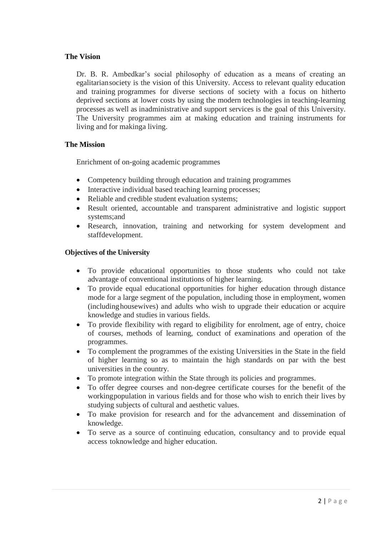### **The Vision**

Dr. B. R. Ambedkar's social philosophy of education as a means of creating an egalitariansociety is the vision of this University. Access to relevant quality education and training programmes for diverse sections of society with a focus on hitherto deprived sections at lower costs by using the modern technologies in teaching-learning processes as well as inadministrative and support services is the goal of this University. The University programmes aim at making education and training instruments for living and for makinga living.

### **The Mission**

Enrichment of on-going academic programmes

- Competency building through education and training programmes
- Interactive individual based teaching learning processes;
- Reliable and credible student evaluation systems;
- Result oriented, accountable and transparent administrative and logistic support systems;and
- Research, innovation, training and networking for system development and staffdevelopment.

#### **Objectives of the University**

- To provide educational opportunities to those students who could not take advantage of conventional institutions of higher learning.
- To provide equal educational opportunities for higher education through distance mode for a large segment of the population, including those in employment, women (includinghousewives) and adults who wish to upgrade their education or acquire knowledge and studies in various fields.
- To provide flexibility with regard to eligibility for enrolment, age of entry, choice of courses, methods of learning, conduct of examinations and operation of the programmes.
- To complement the programmes of the existing Universities in the State in the field of higher learning so as to maintain the high standards on par with the best universities in the country.
- To promote integration within the State through its policies and programmes.
- To offer degree courses and non-degree certificate courses for the benefit of the workingpopulation in various fields and for those who wish to enrich their lives by studying subjects of cultural and aesthetic values.
- To make provision for research and for the advancement and dissemination of knowledge.
- To serve as a source of continuing education, consultancy and to provide equal access toknowledge and higher education.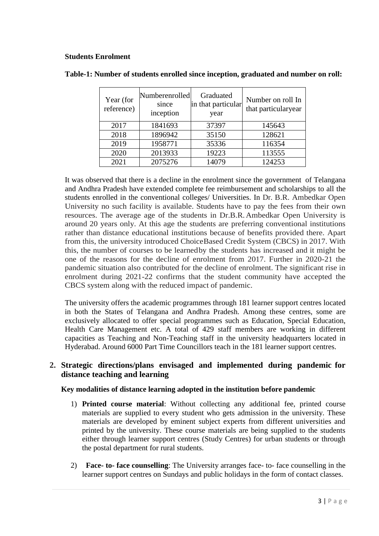#### **Students Enrolment**

| Year (for<br>reference) | Numberenrolled<br>since<br>inception | Graduated<br>in that particular<br>year | Number on roll In<br>that particularyear |
|-------------------------|--------------------------------------|-----------------------------------------|------------------------------------------|
| 2017                    | 1841693                              | 37397                                   | 145643                                   |
| 2018                    | 1896942                              | 35150                                   | 128621                                   |
| 2019                    | 1958771                              | 35336                                   | 116354                                   |
| 2020                    | 2013933                              | 19223                                   | 113555                                   |
| 2021                    | 2075276                              | 14079                                   | 124253                                   |

It was observed that there is a decline in the enrolment since the government of Telangana and Andhra Pradesh have extended complete fee reimbursement and scholarships to all the students enrolled in the conventional colleges/ Universities. In Dr. B.R. Ambedkar Open University no such facility is available. Students have to pay the fees from their own resources. The average age of the students in Dr.B.R.Ambedkar Open University is around 20 years only. At this age the students are preferring conventional institutions rather than distance educational institutions because of benefits provided there. Apart from this, the university introduced ChoiceBased Credit System (CBCS) in 2017. With this, the number of courses to be learnedby the students has increased and it might be one of the reasons for the decline of enrolment from 2017. Further in 2020-21 the pandemic situation also contributed for the decline of enrolment. The significant rise in enrolment during 2021-22 confirms that the student community have accepted the CBCS system along with the reduced impact of pandemic.

The university offers the academic programmes through 181 learner support centres located in both the States of Telangana and Andhra Pradesh. Among these centres, some are exclusively allocated to offer special programmes such as Education, Special Education, Health Care Management etc. A total of 429 staff members are working in different capacities as Teaching and Non-Teaching staff in the university headquarters located in Hyderabad. Around 6000 Part Time Councillors teach in the 181 learner support centres.

## **2. Strategic directions/plans envisaged and implemented during pandemic for distance teaching and learning**

**Key modalities of distance learning adopted in the institution before pandemic**

- 1) **Printed course material**: Without collecting any additional fee, printed course materials are supplied to every student who gets admission in the university. These materials are developed by eminent subject experts from different universities and printed by the university. These course materials are being supplied to the students either through learner support centres (Study Centres) for urban students or through the postal department for rural students.
- 2) **Face- to- face counselling**: The University arranges face- to- face counselling in the learner support centres on Sundays and public holidays in the form of contact classes.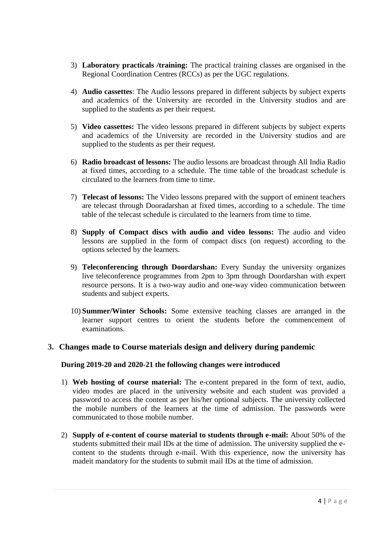- 3) **Laboratory practicals /training:** The practical training classes are organised in the Regional Coordination Centres (RCCs) as per the UGC regulations.
- 4) **Audio cassettes**: The Audio lessons prepared in different subjects by subject experts and academics of the University are recorded in the University studios and are supplied to the students as per their request.
- 5) **Video cassettes:** The video lessons prepared in different subjects by subject experts and academics of the University are recorded in the University studios and are supplied to the students as per their request.
- 6) **Radio broadcast of lessons:** The audio lessons are broadcast through All India Radio at fixed times, according to a schedule. The time table of the broadcast schedule is circulated to the learners from time to time.
- 7) **Telecast of lessons:** The Video lessons prepared with the support of eminent teachers are telecast through Dooradarshan at fixed times, according to a schedule. The time table of the telecast schedule is circulated to the learners from time to time.
- 8) **Supply of Compact discs with audio and video lessons:** The audio and video lessons are supplied in the form of compact discs (on request) according to the options selected by the learners.
- 9) **Teleconferencing through Doordarshan:** Every Sunday the university organizes live teleconference programmes from 2pm to 3pm through Doordarshan with expert resource persons. It is a two-way audio and one-way video communication between students and subject experts.
- 10) **Summer/Winter Schools:** Some extensive teaching classes are arranged in the learner support centres to orient the students before the commencement of examinations.

### **3. Changes made to Course materials design and delivery during pandemic**

### **During 2019-20 and 2020-21 the following changes were introduced**

- 1) **Web hosting of course material:** The e-content prepared in the form of text, audio, video modes are placed in the university website and each student was provided a password to access the content as per his/her optional subjects. The university collected the mobile numbers of the learners at the time of admission. The passwords were communicated to those mobile number.
- 2) **Supply of e-content of course material to students through e-mail:** About 50% of the students submitted their mail IDs at the time of admission. The university supplied the econtent to the students through e-mail. With this experience, now the university has madeit mandatory for the students to submit mail IDs at the time of admission.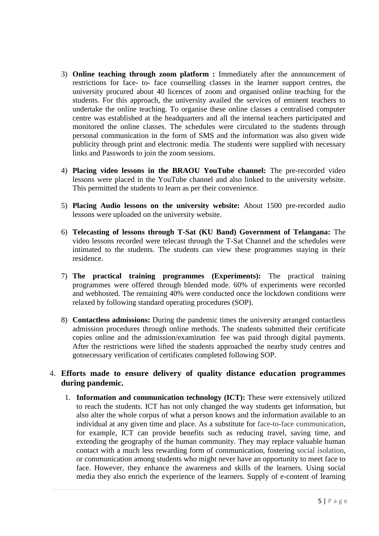- 3) **Online teaching through zoom platform :** Immediately after the announcement of restrictions for face- to- face counselling classes in the learner support centres, the university procured about 40 licences of zoom and organised online teaching for the students. For this approach, the university availed the services of eminent teachers to undertake the online teaching. To organise these online classes a centralised computer centre was established at the headquarters and all the internal teachers participated and monitored the online classes. The schedules were circulated to the students through personal communication in the form of SMS and the information was also given wide publicity through print and electronic media. The students were supplied with necessary links and Passwords to join the zoom sessions.
- 4) **Placing video lessons in the BRAOU YouTube channel:** The pre-recorded video lessons were placed in the YouTube channel and also linked to the university website. This permitted the students to learn as per their convenience.
- 5) **Placing Audio lessons on the university website:** About 1500 pre-recorded audio lessons were uploaded on the university website.
- 6) **Telecasting of lessons through T-Sat (KU Band) Government of Telangana:** The video lessons recorded were telecast through the T-Sat Channel and the schedules were intimated to the students. The students can view these programmes staying in their residence.
- 7) **The practical training programmes (Experiments):** The practical training programmes were offered through blended mode. 60% of experiments were recorded and webhosted. The remaining 40% were conducted once the lockdown conditions were relaxed by following standard operating procedures (SOP).
- 8) **Contactless admissions:** During the pandemic times the university arranged contactless admission procedures through online methods. The students submitted their certificate copies online and the admission/examination fee was paid through digital payments. After the restrictions were lifted the students approached the nearby study centres and gotnecessary verification of certificates completed following SOP.

## 4. **Efforts made to ensure delivery of quality distance education programmes during pandemic.**

1. **Information and communication technology (ICT):** These were extensively utilized to reach the students. ICT has not only changed the way students get information, but also alter the whole corpus of what a person knows and the information available to an individual at any given time and place. As a substitute for [face-to-face communication,](https://www.sciencedirect.com/topics/psychology/face-to-face-communication) for example, ICT can provide benefits such as reducing travel, saving time, and extending the geography of the human community. They may replace valuable human contact with a much less rewarding form of communication, fostering [social isolation,](https://www.sciencedirect.com/topics/social-sciences/social-alienation) or communication among students who might never have an opportunity to meet face to face. However, they enhance the awareness and skills of the learners. Using social media they also enrich the experience of the learners. Supply of e-content of learning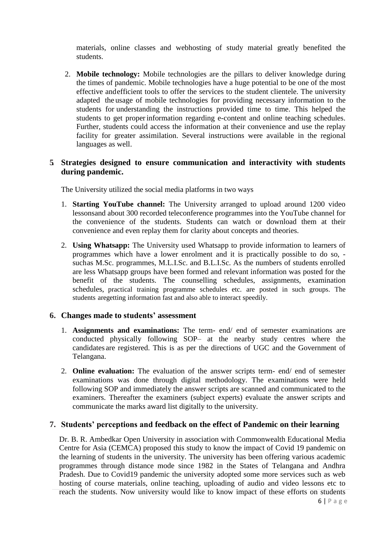materials, online classes and webhosting of study material greatly benefited the students.

2. **Mobile technology:** Mobile technologies are the pillars to deliver knowledge during the times of pandemic. Mobile technologies have a huge potential to be one of the most effective andefficient tools to offer the services to the student clientele. The university adapted the usage of mobile technologies for providing necessary information to the students for understanding the instructions provided time to time. This helped the students to get properinformation regarding e-content and online teaching schedules. Further, students could access the information at their convenience and use the replay facility for greater assimilation. Several instructions were available in the regional languages as well.

## **5. Strategies designed to ensure communication and interactivity with students during pandemic.**

The University utilized the social media platforms in two ways

- 1. **Starting YouTube channel:** The University arranged to upload around 1200 video lessonsand about 300 recorded teleconference programmes into the YouTube channel for the convenience of the students. Students can watch or download them at their convenience and even replay them for clarity about concepts and theories.
- 2. **Using Whatsapp:** The University used Whatsapp to provide information to learners of programmes which have a lower enrolment and it is practically possible to do so, suchas M.Sc. programmes, M.L.I.Sc. and B.L.I.Sc. As the numbers of students enrolled are less Whatsapp groups have been formed and relevant information was posted for the benefit of the students. The counselling schedules, assignments, examination schedules, practical training programme schedules etc. are posted in such groups. The students aregetting information fast and also able to interact speedily.

### **6. Changes made to students' assessment**

- 1. **Assignments and examinations:** The term- end/ end of semester examinations are conducted physically following SOP– at the nearby study centres where the candidates are registered. This is as per the directions of UGC and the Government of Telangana.
- 2. **Online evaluation:** The evaluation of the answer scripts term- end/ end of semester examinations was done through digital methodology. The examinations were held following SOP and immediately the answer scripts are scanned and communicated to the examiners. Thereafter the examiners (subject experts) evaluate the answer scripts and communicate the marks award list digitally to the university.

### **7. Students' perceptions and feedback on the effect of Pandemic on their learning**

Dr. B. R. Ambedkar Open University in association with Commonwealth Educational Media Centre for Asia (CEMCA) proposed this study to know the impact of Covid 19 pandemic on the learning of students in the university. The university has been offering various academic programmes through distance mode since 1982 in the States of Telangana and Andhra Pradesh. Due to Covid19 pandemic the university adopted some more services such as web hosting of course materials, online teaching, uploading of audio and video lessons etc to reach the students. Now university would like to know impact of these efforts on students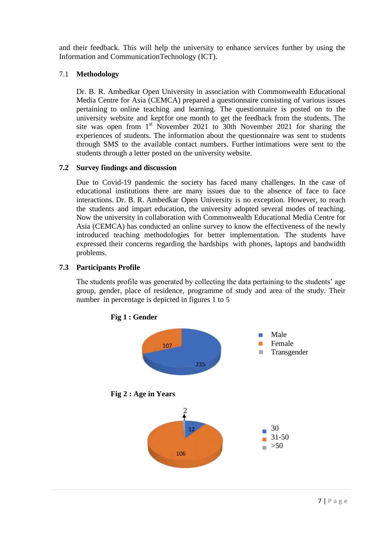and their feedback. This will help the university to enhance services further by using the Information and CommunicationTechnology (ICT).

### 7.1 **Methodology**

Dr. B. R. Ambedkar Open University in association with Commonwealth Educational Media Centre for Asia (CEMCA) prepared a questionnaire consisting of various issues pertaining to online teaching and learning. The questionnaire is posted on to the university website and keptfor one month to get the feedback from the students. The site was open from  $1<sup>st</sup>$  November 2021 to 30th November 2021 for sharing the experiences of students. The information about the questionnaire was sent to students through SMS to the available contact numbers. Further intimations were sent to the students through a letter posted on the university website.

## **7.2 Survey findings and discussion**

Due to Covid-19 pandemic the society has faced many challenges. In the case of educational institutions there are many issues due to the absence of face to face interactions. Dr. B. R. Ambedkar Open University is no exception. However, to reach the students and impart education, the university adopted several modes of teaching. Now the university in collaboration with Commonwealth Educational Media Centre for Asia (CEMCA) has conducted an online survey to know the effectiveness of the newly introduced teaching methodologies for better implementation. The students have expressed their concerns regarding the hardships with phones, laptops and bandwidth problems.

### **7.3 Participants Profile**

The students profile was generated by collecting the data pertaining to the students' age group, gender, place of residence, programme of study and area of the study. Their number in percentage is depicted in figures 1 to 5



 **Fig 1 : Gender**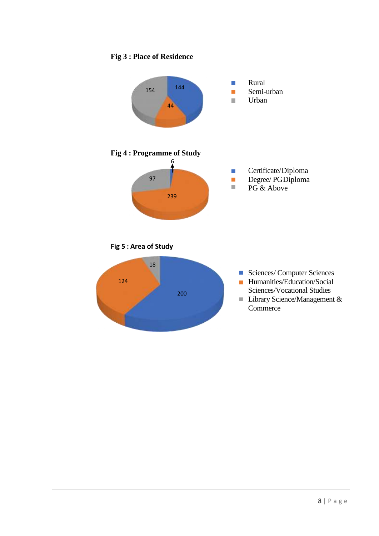# **Fig 3 : Place of Residence**

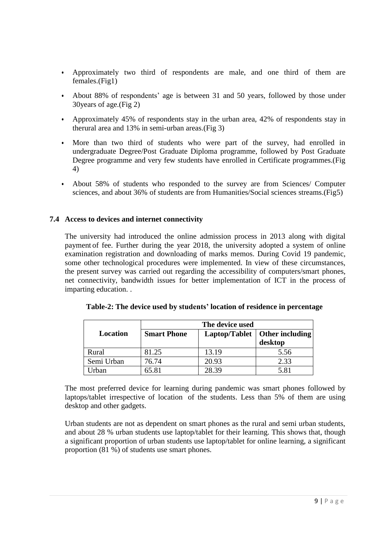- Approximately two third of respondents are male, and one third of them are females.(Fig1)
- About 88% of respondents' age is between 31 and 50 years, followed by those under 30years of age.(Fig 2)
- Approximately 45% of respondents stay in the urban area, 42% of respondents stay in therural area and 13% in semi-urban areas.(Fig 3)
- More than two third of students who were part of the survey, had enrolled in undergraduate Degree/Post Graduate Diploma programme, followed by Post Graduate Degree programme and very few students have enrolled in Certificate programmes.(Fig 4)
- About 58% of students who responded to the survey are from Sciences/ Computer sciences, and about 36% of students are from Humanities/Social sciences streams.(Fig5)

### **7.4 Access to devices and internet connectivity**

The university had introduced the online admission process in 2013 along with digital payment of fee. Further during the year 2018, the university adopted a system of online examination registration and downloading of marks memos. During Covid 19 pandemic, some other technological procedures were implemented. In view of these circumstances, the present survey was carried out regarding the accessibility of computers/smart phones, net connectivity, bandwidth issues for better implementation of ICT in the process of imparting education. .

| Location   | <b>Smart Phone</b> |       | Laptop/Tablet   Other including<br>desktop |
|------------|--------------------|-------|--------------------------------------------|
| Rural      | 81.25              | 13.19 | 5.56                                       |
| Semi Urban | 76.74              | 20.93 | 2.33                                       |
| Urban      | 65.81              | 28.39 | 5.81                                       |

The most preferred device for learning during pandemic was smart phones followed by laptops/tablet irrespective of location of the students. Less than 5% of them are using desktop and other gadgets.

Urban students are not as dependent on smart phones as the rural and semi urban students, and about 28 % urban students use laptop/tablet for their learning. This shows that, though a significant proportion of urban students use laptop/tablet for online learning, a significant proportion (81 %) of students use smart phones.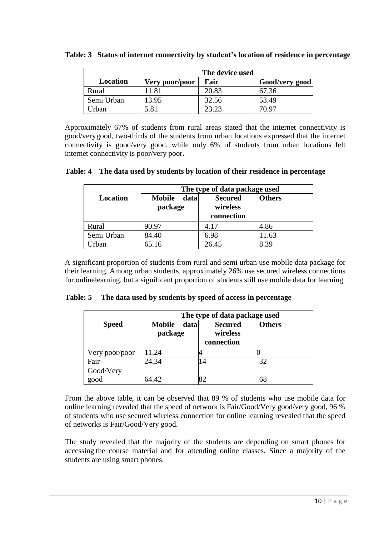|            | The device used |       |                |
|------------|-----------------|-------|----------------|
| Location   | Very poor/poor  | Fair  | Good/very good |
| Rural      | 11.81           | 20.83 | 67.36          |
| Semi Urban | 13.95           | 32.56 | 53.49          |
| Irban      | 5.81            | 23.23 | 70 Q7          |

**Table: 3 Status of internet connectivity by student's location of residence in percentage**

Approximately 67% of students from rural areas stated that the internet connectivity is good/verygood, two-thirds of the students from urban locations expressed that the internet connectivity is good/very good, while only 6% of students from urban locations felt internet connectivity is poor/very poor.

|  | Table: 4 The data used by students by location of their residence in percentage |  |  |  |  |  |
|--|---------------------------------------------------------------------------------|--|--|--|--|--|
|--|---------------------------------------------------------------------------------|--|--|--|--|--|

|                                              | The type of data package used |                                          |               |  |  |
|----------------------------------------------|-------------------------------|------------------------------------------|---------------|--|--|
| Location<br>data<br><b>Mobile</b><br>package |                               | <b>Secured</b><br>wireless<br>connection | <b>Others</b> |  |  |
| Rural                                        | 90.97                         | 4.17                                     | 4.86          |  |  |
| Semi Urban                                   | 84.40                         | 6.98                                     | 11.63         |  |  |
| Urban                                        | 65.16                         | 26.45                                    | 8.39          |  |  |

A significant proportion of students from rural and semi urban use mobile data package for their learning. Among urban students, approximately 26% use secured wireless connections for onlinelearning, but a significant proportion of students still use mobile data for learning.

| Table: 5 |  |  |  | The data used by students by speed of access in percentage |
|----------|--|--|--|------------------------------------------------------------|
|----------|--|--|--|------------------------------------------------------------|

|                | The type of data package used    |                                          |               |  |  |
|----------------|----------------------------------|------------------------------------------|---------------|--|--|
| <b>Speed</b>   | data<br><b>Mobile</b><br>package | <b>Secured</b><br>wireless<br>connection | <b>Others</b> |  |  |
| Very poor/poor | 11.24                            |                                          |               |  |  |
| Fair           | 24.34                            | '4                                       | 32            |  |  |
| Good/Very      | 64.42                            |                                          |               |  |  |
| good           |                                  | 82                                       | 68            |  |  |

From the above table, it can be observed that 89 % of students who use mobile data for online learning revealed that the speed of network is Fair/Good/Very good/very good, 96 % of students who use secured wireless connection for online learning revealed that the speed of networks is Fair/Good/Very good.

The study revealed that the majority of the students are depending on smart phones for accessing the course material and for attending online classes. Since a majority of the students are using smart phones.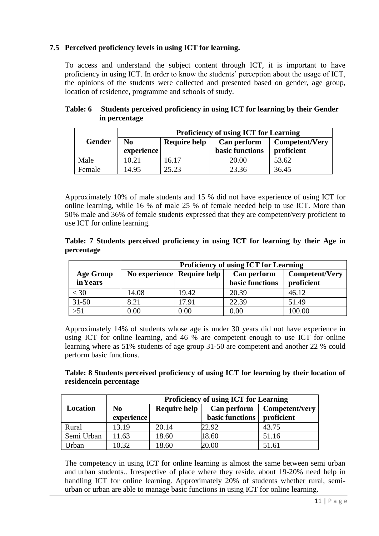## **7.5 Perceived proficiency levels in using ICT for learning.**

To access and understand the subject content through ICT, it is important to have proficiency in using ICT. In order to know the students' perception about the usage of ICT, the opinions of the students were collected and presented based on gender, age group, location of residence, programme and schools of study.

|               | <b>Proficiency of using ICT for Learning</b> |                     |                                |                              |  |
|---------------|----------------------------------------------|---------------------|--------------------------------|------------------------------|--|
| <b>Gender</b> | No<br>experience                             | <b>Require help</b> | Can perform<br>basic functions | Competent/Very<br>proficient |  |
| Male          | 10.21                                        | 16.17               | 20.00                          | 53.62                        |  |
| Female        | 14.95                                        | 25.23               | 23.36                          | 36.45                        |  |

#### **Table: 6 Students perceived proficiency in using ICT for learning by their Gender in percentage**

Approximately 10% of male students and 15 % did not have experience of using ICT for online learning, while 16 % of male 25 % of female needed help to use ICT. More than 50% male and 36% of female students expressed that they are competent/very proficient to use ICT for online learning.

### **Table: 7 Students perceived proficiency in using ICT for learning by their Age in percentage**

|                  | <b>Proficiency of using ICT for Learning</b> |                                                             |                 |            |  |  |  |
|------------------|----------------------------------------------|-------------------------------------------------------------|-----------------|------------|--|--|--|
| <b>Age Group</b> |                                              | No experience Require help<br>Can perform<br>Competent/Very |                 |            |  |  |  |
| <b>in Years</b>  |                                              |                                                             | basic functions | proficient |  |  |  |
| $<$ 30           | 14.08                                        | 19.42                                                       | 20.39           | 46.12      |  |  |  |
| $31 - 50$        | 8.21                                         | 17.91                                                       | 22.39           | 51.49      |  |  |  |
| $>51$            | 0.00                                         | 0.00                                                        | 0.00            | 100.00     |  |  |  |

Approximately 14% of students whose age is under 30 years did not have experience in using ICT for online learning, and 46 % are competent enough to use ICT for online learning where as 51% students of age group 31-50 are competent and another 22 % could perform basic functions.

### **Table: 8 Students perceived proficiency of using ICT for learning by their location of residencein percentage**

| <b>Proficiency of using ICT for Learning</b> |                |                     |                        |                |
|----------------------------------------------|----------------|---------------------|------------------------|----------------|
| <b>Location</b>                              | N <sub>0</sub> | <b>Require help</b> | Can perform            | Competent/very |
|                                              | experience     |                     | <b>basic functions</b> | proficient     |
| Rural                                        | 13.19          | 20.14               | 22.92                  | 43.75          |
| Semi Urban                                   | 11.63          | 18.60               | 18.60                  | 51.16          |
| Urban                                        | 10.32          | 18.60               | 20.00                  | 51.61          |

The competency in using ICT for online learning is almost the same between semi urban and urban students.. Irrespective of place where they reside, about 19-20% need help in handling ICT for online learning. Approximately 20% of students whether rural, semiurban or urban are able to manage basic functions in using ICT for online learning.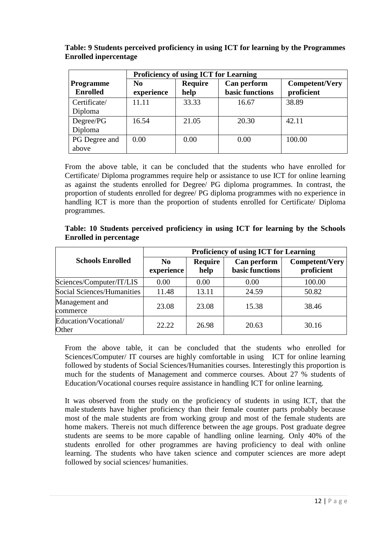|                                     | <b>Proficiency of using ICT for Learning</b> |                        |                                       |                              |
|-------------------------------------|----------------------------------------------|------------------------|---------------------------------------|------------------------------|
| <b>Programme</b><br><b>Enrolled</b> | N <sub>0</sub><br>experience                 | <b>Require</b><br>help | Can perform<br><b>basic functions</b> | Competent/Very<br>proficient |
| Certificate/<br>Diploma             | 11.11                                        | 33.33                  | 16.67                                 | 38.89                        |
| Degree/PG<br>Diploma                | 16.54                                        | 21.05                  | 20.30                                 | 42.11                        |
| PG Degree and<br>above              | 0.00                                         | 0.00                   | 0.00                                  | 100.00                       |

**Table: 9 Students perceived proficiency in using ICT for learning by the Programmes Enrolled inpercentage**

From the above table, it can be concluded that the students who have enrolled for Certificate/ Diploma programmes require help or assistance to use ICT for online learning as against the students enrolled for Degree/ PG diploma programmes. In contrast, the proportion of students enrolled for degree/ PG diploma programmes with no experience in handling ICT is more than the proportion of students enrolled for Certificate/ Diploma programmes.

|                                   |                        |                        | <b>Proficiency of using ICT for Learning</b> |                                     |
|-----------------------------------|------------------------|------------------------|----------------------------------------------|-------------------------------------|
| <b>Schools Enrolled</b>           | $\bf No$<br>experience | <b>Require</b><br>help | Can perform<br>basic functions               | <b>Competent/Very</b><br>proficient |
| Sciences/Computer/IT/LIS          | 0.00                   | 0.00                   | 0.00                                         | 100.00                              |
| <b>Social Sciences/Humanities</b> | 11.48                  | 13.11                  | 24.59                                        | 50.82                               |
| Management and<br>commerce        | 23.08                  | 23.08                  | 15.38                                        | 38.46                               |
| Education/Vocational/<br>Other    | 22.22                  | 26.98                  | 20.63                                        | 30.16                               |

**Table: 10 Students perceived proficiency in using ICT for learning by the Schools Enrolled in percentage**

From the above table, it can be concluded that the students who enrolled for Sciences/Computer/ IT courses are highly comfortable in using ICT for online learning followed by students of Social Sciences/Humanities courses. Interestingly this proportion is much for the students of Management and commerce courses. About 27 % students of Education/Vocational courses require assistance in handling ICT for online learning.

It was observed from the study on the proficiency of students in using ICT, that the male students have higher proficiency than their female counter parts probably because most of the male students are from working group and most of the female students are home makers. Thereis not much difference between the age groups. Post graduate degree students are seems to be more capable of handling online learning. Only 40% of the students enrolled for other programmes are having proficiency to deal with online learning. The students who have taken science and computer sciences are more adept followed by social sciences/ humanities.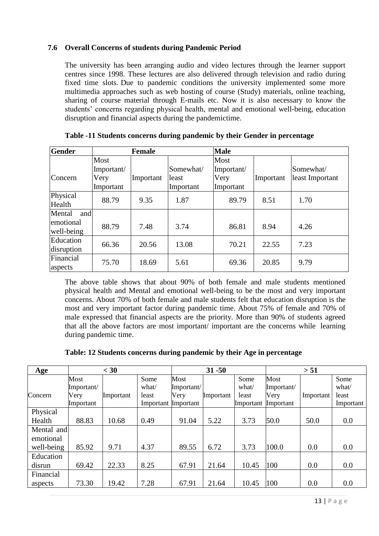## **7.6 Overall Concerns of students during Pandemic Period**

The university has been arranging audio and video lectures through the learner support centres since 1998. These lectures are also delivered through television and radio during fixed time slots. Due to pandemic conditions the university implemented some more multimedia approaches such as web hosting of course (Study) materials, online teaching, sharing of course material through E-mails etc. Now it is also necessary to know the students' concerns regarding physical health, mental and emotional well-being, education disruption and financial aspects during the pandemictime.

| Gender                  |                            | <b>Female</b> |                    | <b>Male</b>                |           |                              |
|-------------------------|----------------------------|---------------|--------------------|----------------------------|-----------|------------------------------|
| Concern                 | Most<br>Important/<br>Very | Important     | Somewhat/<br>least | Most<br>Important/<br>Very | Important | Somewhat/<br>least Important |
|                         | Important                  |               | Important          | Important                  |           |                              |
| Physical<br>Health      | 88.79                      | 9.35          | 1.87               | 89.79                      | 8.51      | 1.70                         |
| Mental<br>and           |                            |               |                    |                            |           |                              |
| emotional<br>well-being | 88.79                      | 7.48          | 3.74               | 86.81                      | 8.94      | 4.26                         |
| Education<br>disruption | 66.36                      | 20.56         | 13.08              | 70.21                      | 22.55     | 7.23                         |
| Financial<br>aspects    | 75.70                      | 18.69         | 5.61               | 69.36                      | 20.85     | 9.79                         |

**Table -11 Students concerns during pandemic by their Gender in percentage**

The above table shows that about 90% of both female and male students mentioned physical health and Mental and emotional well-being to be the most and very important concerns. About 70% of both female and male students felt that education disruption is the most and very important factor during pandemic time. About 75% of female and 70% of male expressed that financial aspects are the priority. More than 90% of students agreed that all the above factors are most important/ important are the concerns while learning during pandemic time.

**Table: 12 Students concerns during pandemic by their Age in percentage**

| Age        |            | $<$ 30    |       |                     | $31 - 50$ |           |            | > 51      |           |
|------------|------------|-----------|-------|---------------------|-----------|-----------|------------|-----------|-----------|
|            | Most       |           | Some  | Most                |           | Some      | Most       |           | Some      |
|            | Important/ |           | what/ | Important/          |           | what/     | Important/ |           | what/     |
| Concern    | Very       | Important | least | Very                | Important | least     | Very       | Important | least     |
|            | Important  |           |       | Important Important |           | Important | Important  |           | Important |
| Physical   |            |           |       |                     |           |           |            |           |           |
| Health     | 88.83      | 10.68     | 0.49  | 91.04               | 5.22      | 3.73      | 50.0       | 50.0      | 0.0       |
| Mental and |            |           |       |                     |           |           |            |           |           |
| emotional  |            |           |       |                     |           |           |            |           |           |
| well-being | 85.92      | 9.71      | 4.37  | 89.55               | 6.72      | 3.73      | 100.0      | 0.0       | 0.0       |
| Education  |            |           |       |                     |           |           |            |           |           |
| disrun     | 69.42      | 22.33     | 8.25  | 67.91               | 21.64     | 10.45     | 100        | 0.0       | 0.0       |
| Financial  |            |           |       |                     |           |           |            |           |           |
| aspects    | 73.30      | 19.42     | 7.28  | 67.91               | 21.64     | 10.45     | 100        | 0.0       | 0.0       |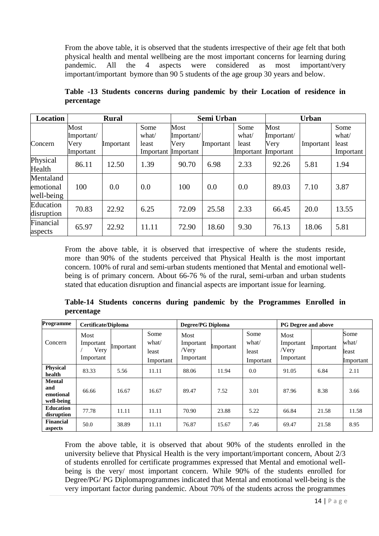From the above table, it is observed that the students irrespective of their age felt that both physical health and mental wellbeing are the most important concerns for learning during<br>pandemic. All the 4 aspects were considered as most important/very pandemic. All the 4 aspects were considered as most important/very important/important bymore than 90 5 students of the age group 30 years and below.

|            |  |  | Table -13 Students concerns during pandemic by their Location of residence in |  |  |  |
|------------|--|--|-------------------------------------------------------------------------------|--|--|--|
| percentage |  |  |                                                                               |  |  |  |

| <b>Location</b>                      |                    | <b>Rural</b> |                              |                    | Semi Urban |                    |                    | <b>Urban</b> |                    |
|--------------------------------------|--------------------|--------------|------------------------------|--------------------|------------|--------------------|--------------------|--------------|--------------------|
|                                      | Most<br>Important/ |              | Some<br>what/                | Most<br>Important/ |            | Some<br>what/      | Most<br>Important/ |              | Some<br>what/      |
| Concern                              | Very<br>Important  | Important    | least<br>Important Important | Very               | Important  | least<br>Important | Very<br>Important  | Important    | least<br>Important |
| Physical<br>Health                   | 86.11              | 12.50        | 1.39                         | 90.70              | 6.98       | 2.33               | 92.26              | 5.81         | 1.94               |
| Mentaland<br>emotional<br>well-being | 100                | 0.0          | 0.0                          | 100                | 0.0        | 0.0                | 89.03              | 7.10         | 3.87               |
| Education<br>disruption              | 70.83              | 22.92        | 6.25                         | 72.09              | 25.58      | 2.33               | 66.45              | 20.0         | 13.55              |
| Financial<br>aspects                 | 65.97              | 22.92        | 11.11                        | 72.90              | 18.60      | 9.30               | 76.13              | 18.06        | 5.81               |

From the above table, it is observed that irrespective of where the students reside, more than 90% of the students perceived that Physical Health is the most important concern. 100% of rural and semi-urban students mentioned that Mental and emotional wellbeing is of primary concern. About 66-76 % of the rural, semi-urban and urban students stated that education disruption and financial aspects are important issue for learning.

**Table-14 Students concerns during pandemic by the Programmes Enrolled in percentage**

| Programme                                       | <b>Certificate/Diploma</b>             |           |                                     | <b>Degree/PG Diploma</b>                   |           |                                     | <b>PG Degree and above</b>              |           |                                     |
|-------------------------------------------------|----------------------------------------|-----------|-------------------------------------|--------------------------------------------|-----------|-------------------------------------|-----------------------------------------|-----------|-------------------------------------|
| Concern                                         | Most<br>Important<br>Very<br>Important | Important | Some<br>what/<br>least<br>Important | Most<br>Important<br>$/$ Very<br>Important | Important | Some<br>what/<br>least<br>Important | Most<br>Important<br>/Very<br>Important | Important | Some<br>what/<br>least<br>Important |
| <b>Physical</b><br>health                       | 83.33                                  | 5.56      | 11.11                               | 88.06                                      | 11.94     | 0.0                                 | 91.05                                   | 6.84      | 2.11                                |
| <b>Mental</b><br>and<br>emotional<br>well-being | 66.66                                  | 16.67     | 16.67                               | 89.47                                      | 7.52      | 3.01                                | 87.96                                   | 8.38      | 3.66                                |
| <b>Education</b><br>disruption                  | 77.78                                  | 11.11     | 11.11                               | 70.90                                      | 23.88     | 5.22                                | 66.84                                   | 21.58     | 11.58                               |
| <b>Financial</b><br>aspects                     | 50.0                                   | 38.89     | 11.11                               | 76.87                                      | 15.67     | 7.46                                | 69.47                                   | 21.58     | 8.95                                |

From the above table, it is observed that about 90% of the students enrolled in the university believe that Physical Health is the very important/important concern, About 2/3 of students enrolled for certificate programmes expressed that Mental and emotional wellbeing is the very/ most important concern. While 90% of the students enrolled for Degree/PG/ PG Diplomaprogrammes indicated that Mental and emotional well-being is the very important factor during pandemic. About 70% of the students across the programmes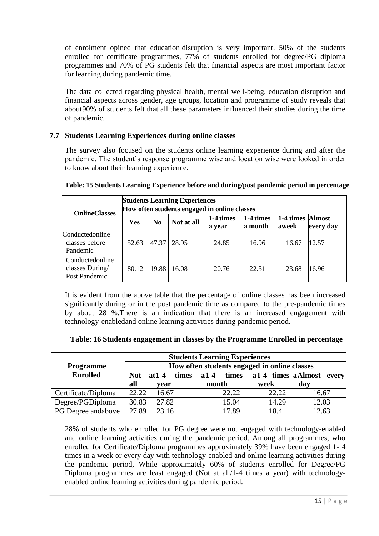of enrolment opined that education disruption is very important. 50% of the students enrolled for certificate programmes, 77% of students enrolled for degree/PG diploma programmes and 70% of PG students felt that financial aspects are most important factor for learning during pandemic time.

The data collected regarding physical health, mental well-being, education disruption and financial aspects across gender, age groups, location and programme of study reveals that about90% of students felt that all these parameters influenced their studies during the time of pandemic.

### **7.7 Students Learning Experiences during online classes**

The survey also focused on the students online learning experience during and after the pandemic. The student's response programme wise and location wise were looked in order to know about their learning experience.

| <b>OnlineClasses</b>                               |       |                | <b>Students Learning Experiences</b> | How often students engaged in online classes |                      |                           |           |
|----------------------------------------------------|-------|----------------|--------------------------------------|----------------------------------------------|----------------------|---------------------------|-----------|
|                                                    | Yes   | N <sub>0</sub> | Not at all                           | 1-4 times<br>a year                          | 1-4 times<br>a month | 1-4 times Almost<br>aweek | every day |
| Conductedonline<br>classes before<br>Pandemic      | 52.63 | 47.37          | 28.95                                | 24.85                                        | 16.96                | 16.67                     | 12.57     |
| Conductedonline<br>classes During<br>Post Pandemic | 80.12 | 19.88          | 16.08                                | 20.76                                        | 22.51                | 23.68                     | 16.96     |

#### **Table: 15 Students Learning Experience before and during/post pandemic period in percentage**

It is evident from the above table that the percentage of online classes has been increased significantly during or in the post pandemic time as compared to the pre-pandemic times by about 28 %.There is an indication that there is an increased engagement with technology-enabledand online learning activities during pandemic period.

| Table: 16 Students engagement in classes by the Programme Enrolled in percentage |  |  |
|----------------------------------------------------------------------------------|--|--|
|----------------------------------------------------------------------------------|--|--|

|                     |            |                   | <b>Students Learning Experiences</b>         |       |                           |
|---------------------|------------|-------------------|----------------------------------------------|-------|---------------------------|
| <b>Programme</b>    |            |                   | How often students engaged in online classes |       |                           |
| <b>Enrolled</b>     | <b>Not</b> | $at 1-4$<br>times | $a1-4$<br>times                              |       | al-4 times a Almost every |
|                     | all        | vear              | month                                        | week  | day                       |
| Certificate/Diploma | 22.22      | 16.67             | 22.22                                        | 22.22 | 16.67                     |
| Degree/PGDiploma    | 30.83      | 27.82             | 15.04                                        | 14.29 | 12.03                     |
| PG Degree andabove  | 27.89      | 23.16             | 17.89                                        | 18.4  | 12.63                     |

28% of students who enrolled for PG degree were not engaged with technology-enabled and online learning activities during the pandemic period. Among all programmes, who enrolled for Certificate/Diploma programmes approximately 39% have been engaged 1- 4 times in a week or every day with technology-enabled and online learning activities during the pandemic period, While approximately 60% of students enrolled for Degree/PG Diploma programmes are least engaged (Not at all/1-4 times a year) with technologyenabled online learning activities during pandemic period.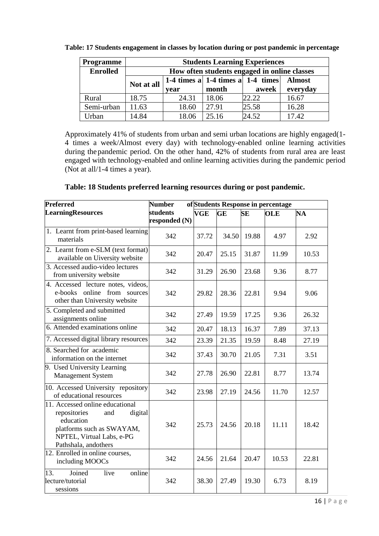| <b>Programme</b> |            |       | <b>Students Learning Experiences</b>              |       |               |
|------------------|------------|-------|---------------------------------------------------|-------|---------------|
| <b>Enrolled</b>  |            |       | How often students engaged in online classes      |       |               |
|                  | Not at all |       | 1-4 times a $\vert$ 1-4 times a $\vert$ 1-4 times |       | <b>Almost</b> |
|                  |            | vear  | month                                             | aweek | everyday      |
| Rural            | 18.75      | 24.31 | 18.06                                             | 22.22 | 16.67         |
| Semi-urban       | 11.63      | 18.60 | 27.91                                             | 25.58 | 16.28         |
| Urban            | 14.84      | 18.06 | 25.16                                             | 24.52 | 17.42         |

**Table: 17 Students engagement in classes by location during or post pandemic in percentage**

Approximately 41% of students from urban and semi urban locations are highly engaged(1- 4 times a week/Almost every day) with technology-enabled online learning activities during thepandemic period. On the other hand, 42% of students from rural area are least engaged with technology-enabled and online learning activities during the pandemic period (Not at all/1-4 times a year).

| Table: 18 Students preferred learning resources during or post pandemic. |
|--------------------------------------------------------------------------|
|--------------------------------------------------------------------------|

| Preferred                                                                                                                                                        | <b>Number</b><br>of Students Response in percentage |            |           |           |            |           |
|------------------------------------------------------------------------------------------------------------------------------------------------------------------|-----------------------------------------------------|------------|-----------|-----------|------------|-----------|
| <b>LearningResources</b>                                                                                                                                         | students<br>responded (N)                           | <b>VGE</b> | <b>GE</b> | <b>SE</b> | <b>OLE</b> | <b>NA</b> |
| 1. Learnt from print-based learning<br>materials                                                                                                                 | 342                                                 | 37.72      | 34.50     | 19.88     | 4.97       | 2.92      |
| 2. Learnt from e-SLM (text format)<br>available on Uiversity website                                                                                             | 342                                                 | 20.47      | 25.15     | 31.87     | 11.99      | 10.53     |
| 3. Accessed audio-video lectures<br>from university website                                                                                                      | 342                                                 | 31.29      | 26.90     | 23.68     | 9.36       | 8.77      |
| 4. Accessed lecture notes, videos,<br>e-books online from sources<br>other than University website                                                               | 342                                                 | 29.82      | 28.36     | 22.81     | 9.94       | 9.06      |
| 5. Completed and submitted<br>assignments online                                                                                                                 | 342                                                 | 27.49      | 19.59     | 17.25     | 9.36       | 26.32     |
| 6. Attended examinations online                                                                                                                                  | 342                                                 | 20.47      | 18.13     | 16.37     | 7.89       | 37.13     |
| 7. Accessed digital library resources                                                                                                                            | 342                                                 | 23.39      | 21.35     | 19.59     | 8.48       | 27.19     |
| 8. Searched for academic<br>information on the internet                                                                                                          | 342                                                 | 37.43      | 30.70     | 21.05     | 7.31       | 3.51      |
| 9. Used University Learning<br><b>Management System</b>                                                                                                          | 342                                                 | 27.78      | 26.90     | 22.81     | 8.77       | 13.74     |
| 10. Accessed University repository<br>of educational resources                                                                                                   | 342                                                 | 23.98      | 27.19     | 24.56     | 11.70      | 12.57     |
| 11. Accessed online educational<br>repositories<br>digital<br>and<br>education<br>platforms such as SWAYAM,<br>NPTEL, Virtual Labs, e-PG<br>Pathshala, andothers | 342                                                 | 25.73      | 24.56     | 20.18     | 11.11      | 18.42     |
| $\overline{12}$ . Enrolled in online courses,<br>including MOOCs                                                                                                 | 342                                                 | 24.56      | 21.64     | 20.47     | 10.53      | 22.81     |
| Joined<br>13.<br>live<br>online<br>lecture/tutorial<br>sessions                                                                                                  | 342                                                 | 38.30      | 27.49     | 19.30     | 6.73       | 8.19      |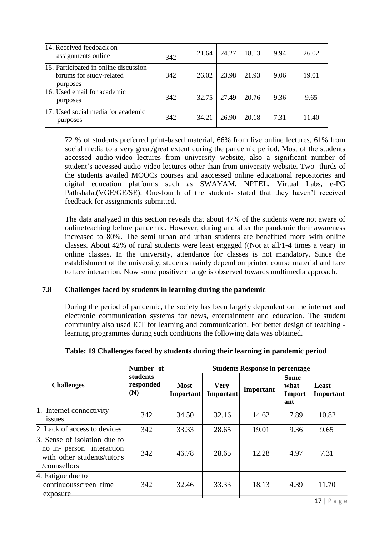| 14. Received feedback on<br>assignments online                                | 342 | 21.64 | 24.27 | 18.13 | 9.94 | 26.02 |
|-------------------------------------------------------------------------------|-----|-------|-------|-------|------|-------|
| 15. Participated in online discussion<br>forums for study-related<br>purposes | 342 | 26.02 | 23.98 | 21.93 | 9.06 | 19.01 |
| 16. Used email for academic<br>purposes                                       | 342 | 32.75 | 27.49 | 20.76 | 9.36 | 9.65  |
| 17. Used social media for academic<br>purposes                                | 342 | 34.21 | 26.90 | 20.18 | 7.31 | 11.40 |

72 % of students preferred print-based material, 66% from live online lectures, 61% from social media to a very great/great extent during the pandemic period. Most of the students accessed audio-video lectures from university website, also a significant number of student's accessed audio-video lectures other than from university website. Two- thirds of the students availed MOOCs courses and aaccessed online educational repositories and digital education platforms such as SWAYAM, NPTEL, Virtual Labs, e-PG Pathshala.(VGE/GE/SE). One-fourth of the students stated that they haven't received feedback for assignments submitted.

The data analyzed in this section reveals that about 47% of the students were not aware of onlineteaching before pandemic. However, during and after the pandemic their awareness increased to 80%. The semi urban and urban students are benefitted more with online classes. About 42% of rural students were least engaged ((Not at all/1-4 times a year) in online classes. In the university, attendance for classes is not mandatory. Since the establishment of the university, students mainly depend on printed course material and face to face interaction. Now some positive change is observed towards multimedia approach.

#### **7.8 Challenges faced by students in learning during the pandemic**

During the period of pandemic, the society has been largely dependent on the internet and electronic communication systems for news, entertainment and education. The student community also used ICT for learning and communication. For better design of teaching learning programmes during such conditions the following data was obtained.

|                                                                                                         | Number of                    | <b>Students Response in percentage</b> |                          |           |                                      |                    |
|---------------------------------------------------------------------------------------------------------|------------------------------|----------------------------------------|--------------------------|-----------|--------------------------------------|--------------------|
| <b>Challenges</b>                                                                                       | students<br>responded<br>(N) | <b>Most</b><br>Important               | <b>Very</b><br>Important | Important | <b>Some</b><br>what<br>Import<br>ant | Least<br>Important |
| 1. Internet connectivity<br><i>issues</i>                                                               | 342                          | 34.50                                  | 32.16                    | 14.62     | 7.89                                 | 10.82              |
| 2. Lack of access to devices                                                                            | 342                          | 33.33                                  | 28.65                    | 19.01     | 9.36                                 | 9.65               |
| 3. Sense of isolation due to<br>no in- person interaction<br>with other students/tutors<br>/counsellors | 342                          | 46.78                                  | 28.65                    | 12.28     | 4.97                                 | 7.31               |
| 4. Fatigue due to<br>continuousscreen time<br>exposure                                                  | 342                          | 32.46                                  | 33.33                    | 18.13     | 4.39                                 | 11.70<br>$-1 -$    |

#### **Table: 19 Challenges faced by students during their learning in pandemic period**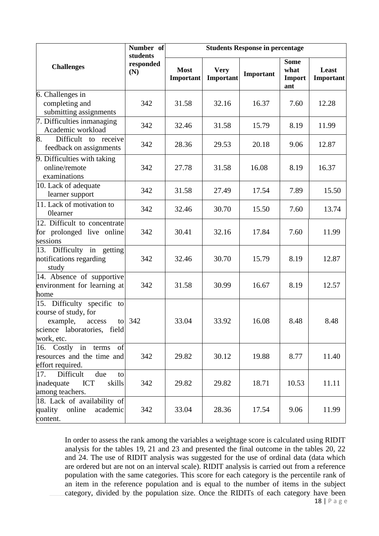|                                                                                                                             | Number of                    | <b>Students Response in percentage</b> |                          |           |                                             |                    |  |
|-----------------------------------------------------------------------------------------------------------------------------|------------------------------|----------------------------------------|--------------------------|-----------|---------------------------------------------|--------------------|--|
| <b>Challenges</b>                                                                                                           | students<br>responded<br>(N) | <b>Most</b><br>Important               | <b>Very</b><br>Important | Important | <b>Some</b><br>what<br><b>Import</b><br>ant | Least<br>Important |  |
| 6. Challenges in                                                                                                            | 342                          | 31.58                                  | 32.16                    | 16.37     |                                             | 12.28              |  |
| completing and<br>submitting assignments                                                                                    |                              |                                        |                          |           | 7.60                                        |                    |  |
| 7. Difficulties inmanaging<br>Academic workload                                                                             | 342                          | 32.46                                  | 31.58                    | 15.79     | 8.19                                        | 11.99              |  |
| 8.<br>Difficult to receive<br>feedback on assignments                                                                       | 342                          | 28.36                                  | 29.53                    | 20.18     | 9.06                                        | 12.87              |  |
| 9. Difficulties with taking<br>online/remote<br>examinations                                                                | 342                          | 27.78                                  | 31.58                    | 16.08     | 8.19                                        | 16.37              |  |
| 10. Lack of adequate<br>learner support                                                                                     | 342                          | 31.58                                  | 27.49                    | 17.54     | 7.89                                        | 15.50              |  |
| 11. Lack of motivation to<br><b>Olearner</b>                                                                                | 342                          | 32.46                                  | 30.70                    | 15.50     | 7.60                                        | 13.74              |  |
| 12. Difficult to concentrate<br>for prolonged live online<br>sessions                                                       | 342                          | 30.41                                  | 32.16                    | 17.84     | 7.60                                        | 11.99              |  |
| 13. Difficulty in getting<br>notifications regarding<br>study                                                               | 342                          | 32.46                                  | 30.70                    | 15.79     | 8.19                                        | 12.87              |  |
| 14. Absence of supportive<br>environment for learning at<br>home                                                            | 342                          | 31.58                                  | 30.99                    | 16.67     | 8.19                                        | 12.57              |  |
| 15. Difficulty specific to<br>course of study, for<br>example,<br>access<br>to<br>science laboratories, field<br>work, etc. | 342                          | 33.04                                  | 33.92                    | 16.08     | 8.48                                        | 8.48               |  |
| 16. Costly in terms<br>of<br>resources and the time and<br>effort required.                                                 | 342                          | 29.82                                  | 30.12                    | 19.88     | 8.77                                        | 11.40              |  |
| Difficult<br>17.<br>due<br>to<br>inadequate<br><b>ICT</b><br>skills<br>among teachers.                                      | 342                          | 29.82                                  | 29.82                    | 18.71     | 10.53                                       | 11.11              |  |
| 18. Lack of availability of<br>online<br>academic<br>quality<br>content.                                                    | 342                          | 33.04                                  | 28.36                    | 17.54     | 9.06                                        | 11.99              |  |

In order to assess the rank among the variables a weightage score is calculated using RIDIT analysis for the tables 19, 21 and 23 and presented the final outcome in the tables 20, 22 and 24. The use of RIDIT analysis was suggested for the use of ordinal data (data which are ordered but are not on an interval scale). RIDIT analysis is carried out from a reference population with the same categories. This score for each category is the percentile rank of an item in the reference population and is equal to the number of items in the subject category, divided by the population size. Once the RIDITs of each category have been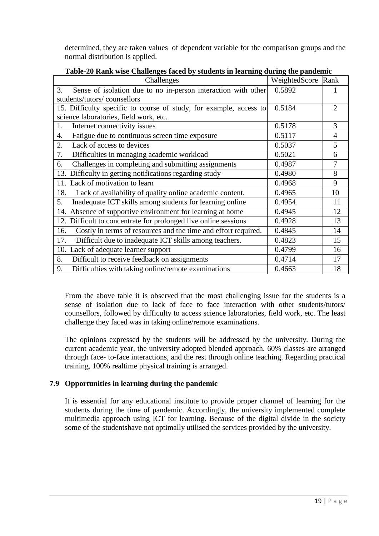determined, they are taken values of dependent variable for the comparison groups and the normal distribution is applied.

| Challenges                                                            | WeightedScore Rank |                |
|-----------------------------------------------------------------------|--------------------|----------------|
| 3.<br>Sense of isolation due to no in-person interaction with other   | 0.5892             |                |
| students/tutors/counsellors                                           |                    |                |
| 15. Difficulty specific to course of study, for example, access to    | 0.5184             | $\overline{2}$ |
| science laboratories, field work, etc.                                |                    |                |
| Internet connectivity issues<br>1.                                    | 0.5178             | 3              |
| 4.<br>Fatigue due to continuous screen time exposure                  | 0.5117             | $\overline{4}$ |
| Lack of access to devices<br>2.                                       | 0.5037             | 5              |
| 7.<br>Difficulties in managing academic workload                      | 0.5021             | 6              |
| Challenges in completing and submitting assignments<br>6.             | 0.4987             | $\overline{7}$ |
| 13. Difficulty in getting notifications regarding study               | 0.4980             | 8              |
| 11. Lack of motivation to learn                                       | 0.4968             | 9              |
| Lack of availability of quality online academic content.<br>18.       | 0.4965             | 10             |
| 5.<br>Inadequate ICT skills among students for learning online        | 0.4954             | 11             |
| 14. Absence of supportive environment for learning at home            | 0.4945             | 12             |
| 12. Difficult to concentrate for prolonged live online sessions       | 0.4928             | 13             |
| Costly in terms of resources and the time and effort required.<br>16. | 0.4845             | 14             |
| Difficult due to inadequate ICT skills among teachers.<br>17.         | 0.4823             | 15             |
| Lack of adequate learner support<br>10.                               | 0.4799             | 16             |
| Difficult to receive feedback on assignments<br>8.                    | 0.4714             | 17             |
| 9.<br>Difficulties with taking online/remote examinations             | 0.4663             | 18             |

**Table-20 Rank wise Challenges faced by students in learning during the pandemic**

From the above table it is observed that the most challenging issue for the students is a sense of isolation due to lack of face to face interaction with other students/tutors/ counsellors, followed by difficulty to access science laboratories, field work, etc. The least challenge they faced was in taking online/remote examinations.

The opinions expressed by the students will be addressed by the university. During the current academic year, the university adopted blended approach. 60% classes are arranged through face- to-face interactions, and the rest through online teaching. Regarding practical training, 100% realtime physical training is arranged.

## **7.9 Opportunities in learning during the pandemic**

It is essential for any educational institute to provide proper channel of learning for the students during the time of pandemic. Accordingly, the university implemented complete multimedia approach using ICT for learning. Because of the digital divide in the society some of the studentshave not optimally utilised the services provided by the university.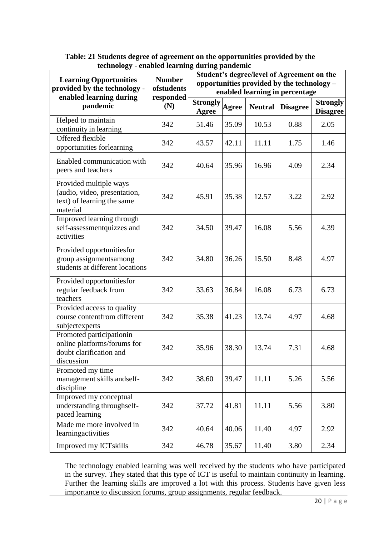| <b>Learning Opportunities</b><br>provided by the technology -<br>enabled learning during         | <b>Number</b><br>ofstudents<br>responded | Student's degree/level of Agreement on the<br>opportunities provided by the technology -<br>enabled learning in percentage |              |                |                 |                                    |  |
|--------------------------------------------------------------------------------------------------|------------------------------------------|----------------------------------------------------------------------------------------------------------------------------|--------------|----------------|-----------------|------------------------------------|--|
| pandemic                                                                                         | (N)                                      | <b>Strongly</b><br><b>Agree</b>                                                                                            | <b>Agree</b> | <b>Neutral</b> | <b>Disagree</b> | <b>Strongly</b><br><b>Disagree</b> |  |
| Helped to maintain<br>continuity in learning                                                     | 342                                      | 51.46                                                                                                                      | 35.09        | 10.53          | 0.88            | 2.05                               |  |
| Offered flexible<br>opportunities forlearning                                                    | 342                                      | 43.57                                                                                                                      | 42.11        | 11.11          | 1.75            | 1.46                               |  |
| Enabled communication with<br>peers and teachers                                                 | 342                                      | 40.64                                                                                                                      | 35.96        | 16.96          | 4.09            | 2.34                               |  |
| Provided multiple ways<br>(audio, video, presentation,<br>text) of learning the same<br>material | 342                                      | 45.91                                                                                                                      | 35.38        | 12.57          | 3.22            | 2.92                               |  |
| Improved learning through<br>self-assessmentquizzes and<br>activities                            | 342                                      | 34.50                                                                                                                      | 39.47        | 16.08          | 5.56            | 4.39                               |  |
| Provided opportunities for<br>group assignmentsamong<br>students at different locations          | 342                                      | 34.80                                                                                                                      | 36.26        | 15.50          | 8.48            | 4.97                               |  |
| Provided opportunitiesfor<br>regular feedback from<br>teachers                                   | 342                                      | 33.63                                                                                                                      | 36.84        | 16.08          | 6.73            | 6.73                               |  |
| Provided access to quality<br>course contentfrom different<br>subjectexperts                     | 342                                      | 35.38                                                                                                                      | 41.23        | 13.74          | 4.97            | 4.68                               |  |
| Promoted participationin<br>online platforms/forums for<br>doubt clarification and<br>discussion | 342                                      | 35.96                                                                                                                      | 38.30        | 13.74          | 7.31            | 4.68                               |  |
| Promoted my time<br>management skills andself-<br>discipline                                     | 342                                      | 38.60                                                                                                                      | 39.47        | 11.11          | 5.26            | 5.56                               |  |
| Improved my conceptual<br>understanding throughself-<br>paced learning                           | 342                                      | 37.72                                                                                                                      | 41.81        | 11.11          | 5.56            | 3.80                               |  |
| Made me more involved in<br>learningactivities                                                   | 342                                      | 40.64                                                                                                                      | 40.06        | 11.40          | 4.97            | 2.92                               |  |
| Improved my ICTskills                                                                            | 342                                      | 46.78                                                                                                                      | 35.67        | 11.40          | 3.80            | 2.34                               |  |

| Table: 21 Students degree of agreement on the opportunities provided by the |
|-----------------------------------------------------------------------------|
| technology - enabled learning during pandemic                               |

The technology enabled learning was well received by the students who have participated in the survey. They stated that this type of ICT is useful to maintain continuity in learning. Further the learning skills are improved a lot with this process. Students have given less importance to discussion forums, group assignments, regular feedback.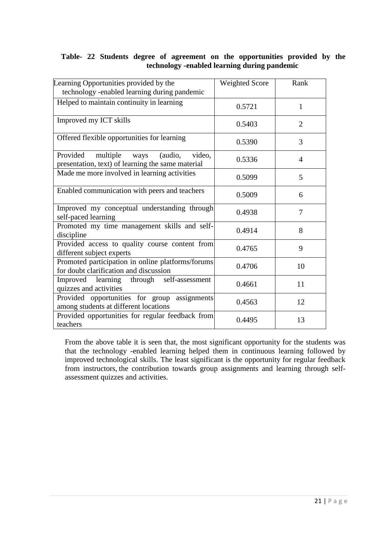### **Table- 22 Students degree of agreement on the opportunities provided by the technology -enabled learning during pandemic**

| Learning Opportunities provided by the<br>technology -enabled learning during pandemic                 | <b>Weighted Score</b> | Rank           |
|--------------------------------------------------------------------------------------------------------|-----------------------|----------------|
| Helped to maintain continuity in learning                                                              | 0.5721                | 1              |
| Improved my ICT skills                                                                                 | 0.5403                | $\overline{2}$ |
| Offered flexible opportunities for learning                                                            | 0.5390                | 3              |
| Provided<br>multiple<br>(audio,<br>video,<br>ways<br>presentation, text) of learning the same material | 0.5336                | 4              |
| Made me more involved in learning activities                                                           | 0.5099                | 5              |
| Enabled communication with peers and teachers                                                          | 0.5009                | 6              |
| Improved my conceptual understanding through<br>self-paced learning                                    | 0.4938                | 7              |
| Promoted my time management skills and self-<br>discipline                                             | 0.4914                | 8              |
| Provided access to quality course content from<br>different subject experts                            | 0.4765                | 9              |
| Promoted participation in online platforms/forums<br>for doubt clarification and discussion            | 0.4706                | 10             |
| Improved learning through self-assessment<br>quizzes and activities                                    | 0.4661                | 11             |
| Provided opportunities for group<br>assignments<br>among students at different locations               | 0.4563                | 12             |
| Provided opportunities for regular feedback from<br>teachers                                           | 0.4495                | 13             |

From the above table it is seen that, the most significant opportunity for the students was that the technology -enabled learning helped them in continuous learning followed by improved technological skills. The least significant is the opportunity for regular feedback from instructors, the contribution towards group assignments and learning through selfassessment quizzes and activities.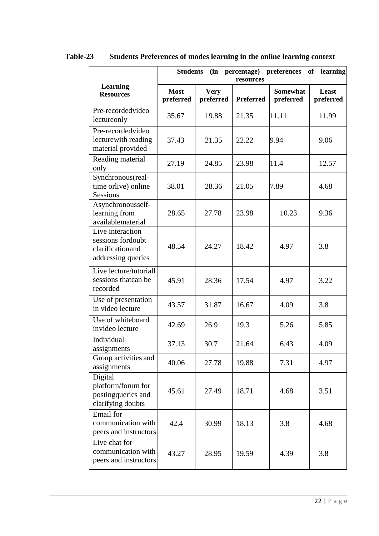|                                                                                 | <b>Students</b><br>percentage) preferences<br>(in<br><b>of</b><br>learning<br>resources |                          |                  |                              |                    |
|---------------------------------------------------------------------------------|-----------------------------------------------------------------------------------------|--------------------------|------------------|------------------------------|--------------------|
| <b>Learning</b><br><b>Resources</b>                                             | <b>Most</b><br>preferred                                                                | <b>Very</b><br>preferred | <b>Preferred</b> | <b>Somewhat</b><br>preferred | Least<br>preferred |
| Pre-recordedvideo<br>lectureonly                                                | 35.67                                                                                   | 19.88                    | 21.35            | 11.11                        | 11.99              |
| Pre-recordedvideo<br>lecture with reading<br>material provided                  | 37.43                                                                                   | 21.35                    | 22.22            | 9.94                         | 9.06               |
| Reading material<br>only                                                        | 27.19                                                                                   | 24.85                    | 23.98            | 11.4                         | 12.57              |
| Synchronous(real-<br>time orlive) online<br><b>Sessions</b>                     | 38.01                                                                                   | 28.36                    | 21.05            | 7.89                         | 4.68               |
| Asynchronousself-<br>learning from<br>availablematerial                         | 28.65                                                                                   | 27.78                    | 23.98            | 10.23                        | 9.36               |
| Live interaction<br>sessions fordoubt<br>clarificationand<br>addressing queries | 48.54                                                                                   | 24.27                    | 18.42            | 4.97                         | 3.8                |
| Live lecture/tutoriall<br>sessions thatcan be<br>recorded                       | 45.91                                                                                   | 28.36                    | 17.54            | 4.97                         | 3.22               |
| Use of presentation<br>in video lecture                                         | 43.57                                                                                   | 31.87                    | 16.67            | 4.09                         | 3.8                |
| Use of whiteboard<br>invideo lecture                                            | 42.69                                                                                   | 26.9                     | 19.3             | 5.26                         | 5.85               |
| Individual<br>assignments                                                       | 37.13                                                                                   | 30.7                     | 21.64            | 6.43                         | 4.09               |
| Group activities and<br>assignments                                             | 40.06                                                                                   | 27.78                    | 19.88            | 7.31                         | 4.97               |
| Digital<br>platform/forum for<br>postingqueries and<br>clarifying doubts        | 45.61                                                                                   | 27.49                    | 18.71            | 4.68                         | 3.51               |
| Email for<br>communication with<br>peers and instructors                        | 42.4                                                                                    | 30.99                    | 18.13            | 3.8                          | 4.68               |
| Live chat for<br>communication with<br>peers and instructors                    | 43.27                                                                                   | 28.95                    | 19.59            | 4.39                         | 3.8                |

**Table-23 Students Preferences of modes learning in the online learning context**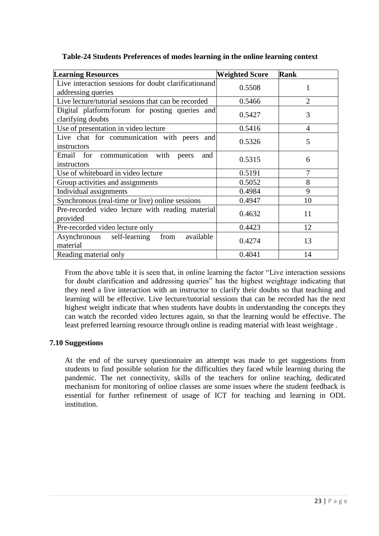| <b>Learning Resources</b>                                                   | <b>Weighted Score</b> | <b>Rank</b>    |
|-----------------------------------------------------------------------------|-----------------------|----------------|
| Live interaction sessions for doubt clarification and<br>addressing queries | 0.5508                |                |
| Live lecture/tutorial sessions that can be recorded                         | 0.5466                | $\overline{2}$ |
| Digital platform/forum for posting queries and<br>clarifying doubts         | 0.5427                | 3              |
| Use of presentation in video lecture                                        | 0.5416                | 4              |
| Live chat for communication with peers and<br>instructors                   | 0.5326                | 5              |
| Email for communication with<br>and<br>peers<br>instructors                 | 0.5315                | 6              |
| Use of whiteboard in video lecture                                          | 0.5191                | 7              |
| Group activities and assignments                                            | 0.5052                | 8              |
| Individual assignments                                                      | 0.4984                | 9              |
| Synchronous (real-time or live) online sessions                             | 0.4947                | 10             |
| Pre-recorded video lecture with reading material<br>provided                | 0.4632                | 11             |
| Pre-recorded video lecture only                                             | 0.4423                | 12             |
| available<br>Asynchronous self-learning<br>from<br>material                 | 0.4274                | 13             |
| Reading material only                                                       | 0.4041                | 14             |

**Table-24 Students Preferences of modes learning in the online learning context**

From the above table it is seen that, in online learning the factor "Live interaction sessions for doubt clarification and addressing queries" has the highest weightage indicating that they need a live interaction with an instructor to clarify their doubts so that teaching and learning will be effective. Live lecture/tutorial sessions that can be recorded has the next highest weight indicate that when students have doubts in understanding the concepts they can watch the recorded video lectures again, so that the learning would be effective. The least preferred learning resource through online is reading material with least weightage .

### **7.10 Suggestions**

At the end of the survey questionnaire an attempt was made to get suggestions from students to find possible solution for the difficulties they faced while learning during the pandemic. The net connectivity, skills of the teachers for online teaching, dedicated mechanism for monitoring of online classes are some issues where the student feedback is essential for further refinement of usage of ICT for teaching and learning in ODL institution.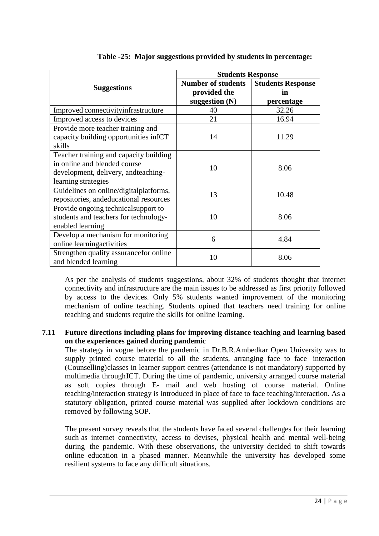|                                                                                                                                       | <b>Students Response</b>                                      |                                              |  |  |  |
|---------------------------------------------------------------------------------------------------------------------------------------|---------------------------------------------------------------|----------------------------------------------|--|--|--|
| <b>Suggestions</b>                                                                                                                    | <b>Number of students</b><br>provided the<br>suggestion $(N)$ | <b>Students Response</b><br>in<br>percentage |  |  |  |
| Improved connectivity infrastructure                                                                                                  | 40                                                            | 32.26                                        |  |  |  |
| Improved access to devices                                                                                                            | 21                                                            | 16.94                                        |  |  |  |
| Provide more teacher training and<br>capacity building opportunities inICT<br>skills                                                  | 14                                                            | 11.29                                        |  |  |  |
| Teacher training and capacity building<br>in online and blended course<br>development, delivery, and teaching-<br>learning strategies | 10                                                            | 8.06                                         |  |  |  |
| Guidelines on online/digitalplatforms,<br>repositories, andeducational resources                                                      | 13                                                            | 10.48                                        |  |  |  |
| Provide ongoing technical support to<br>students and teachers for technology-<br>enabled learning                                     | 10                                                            | 8.06                                         |  |  |  |
| Develop a mechanism for monitoring<br>online learning activities                                                                      | 6                                                             | 4.84                                         |  |  |  |
| Strengthen quality assurance for online<br>and blended learning                                                                       | 10                                                            | 8.06                                         |  |  |  |

As per the analysis of students suggestions, about 32% of students thought that internet connectivity and infrastructure are the main issues to be addressed as first priority followed by access to the devices. Only 5% students wanted improvement of the monitoring mechanism of online teaching. Students opined that teachers need training for online teaching and students require the skills for online learning.

### **7.11 Future directions including plans for improving distance teaching and learning based on the experiences gained during pandemic**

The strategy in vogue before the pandemic in Dr.B.R.Ambedkar Open University was to supply printed course material to all the students, arranging face to face interaction (Counselling)classes in learner support centres (attendance is not mandatory) supported by multimedia throughICT. During the time of pandemic, university arranged course material as soft copies through E- mail and web hosting of course material. Online teaching/interaction strategy is introduced in place of face to face teaching/interaction. As a statutory obligation, printed course material was supplied after lockdown conditions are removed by following SOP.

The present survey reveals that the students have faced several challenges for their learning such as internet connectivity, access to devises, physical health and mental well-being during the pandemic. With these observations, the university decided to shift towards online education in a phased manner. Meanwhile the university has developed some resilient systems to face any difficult situations.